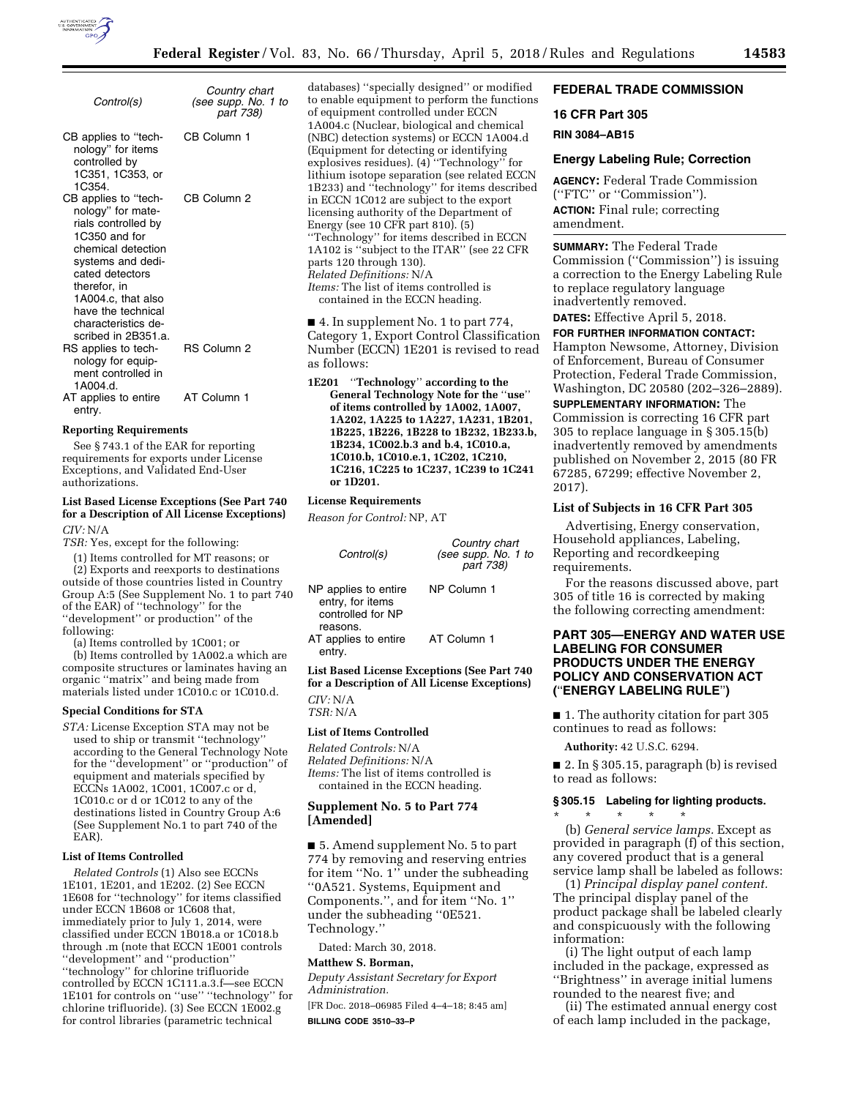

| Control(s)                                                                                                                                                                                                                                                | Country chart<br>(see supp. No. 1 to<br>part 738) |
|-----------------------------------------------------------------------------------------------------------------------------------------------------------------------------------------------------------------------------------------------------------|---------------------------------------------------|
| CB applies to "tech-<br>nology" for items<br>controlled by<br>1C351, 1C353, or<br>1C354.                                                                                                                                                                  | CB Column 1                                       |
| CB applies to "tech-<br>nology" for mate-<br>rials controlled by<br>1C350 and for<br>chemical detection<br>systems and dedi-<br>cated detectors<br>therefor, in<br>1A004.c. that also<br>have the technical<br>characteristics de-<br>scribed in 2B351.a. | CB Column 2                                       |
| RS applies to tech-<br>nology for equip-<br>ment controlled in<br>1A004.d.                                                                                                                                                                                | <b>RS Column 2</b>                                |
| AT applies to entire<br>entry.                                                                                                                                                                                                                            | AT Column 1                                       |

#### **Reporting Requirements**

See § 743.1 of the EAR for reporting requirements for exports under License Exceptions, and Validated End-User authorizations.

### **List Based License Exceptions (See Part 740 for a Description of All License Exceptions)**  *CIV:* N/A

*TSR:* Yes, except for the following:

(1) Items controlled for MT reasons; or (2) Exports and reexports to destinations outside of those countries listed in Country Group A:5 (See Supplement No. 1 to part 740 of the EAR) of ''technology'' for the "development" or production" of the following:

(a) Items controlled by 1C001; or (b) Items controlled by 1A002.a which are composite structures or laminates having an organic ''matrix'' and being made from

materials listed under 1C010.c or 1C010.d.

## **Special Conditions for STA**

*STA:* License Exception STA may not be used to ship or transmit ''technology'' according to the General Technology Note for the ''development'' or ''production'' of equipment and materials specified by ECCNs 1A002, 1C001, 1C007.c or d, 1C010.c or d or 1C012 to any of the destinations listed in Country Group A:6 (See Supplement No.1 to part 740 of the EAR).

#### **List of Items Controlled**

*Related Controls* (1) Also see ECCNs 1E101, 1E201, and 1E202. (2) See ECCN 1E608 for ''technology'' for items classified under ECCN 1B608 or 1C608 that, immediately prior to July 1, 2014, were classified under ECCN 1B018.a or 1C018.b through .m (note that ECCN 1E001 controls ''development'' and ''production'' ''technology'' for chlorine trifluoride controlled by ECCN 1C111.a.3.f—see ECCN 1E101 for controls on ''use'' ''technology'' for chlorine trifluoride). (3) See ECCN 1E002.g for control libraries (parametric technical

databases) ''specially designed'' or modified to enable equipment to perform the functions of equipment controlled under ECCN 1A004.c (Nuclear, biological and chemical (NBC) detection systems) or ECCN 1A004.d (Equipment for detecting or identifying explosives residues). (4) ''Technology'' for lithium isotope separation (see related ECCN 1B233) and ''technology'' for items described in ECCN 1C012 are subject to the export licensing authority of the Department of Energy (see 10 CFR part 810). (5) ''Technology'' for items described in ECCN 1A102 is ''subject to the ITAR'' (see 22 CFR parts 120 through 130). *Related Definitions:* N/A *Items:* The list of items controlled is contained in the ECCN heading.

■ 4. In supplement No. 1 to part 774, Category 1, Export Control Classification Number (ECCN) 1E201 is revised to read as follows:

**1E201** ''**Technology**'' **according to the General Technology Note for the** ''**use**'' **of items controlled by 1A002, 1A007, 1A202, 1A225 to 1A227, 1A231, 1B201, 1B225, 1B226, 1B228 to 1B232, 1B233.b, 1B234, 1C002.b.3 and b.4, 1C010.a, 1C010.b, 1C010.e.1, 1C202, 1C210, 1C216, 1C225 to 1C237, 1C239 to 1C241 or 1D201.** 

# **License Requirements**

*Reason for Control:* NP, AT

| Control(s)                                                                | Country chart<br>(see supp. No. 1 to<br>part 738) |
|---------------------------------------------------------------------------|---------------------------------------------------|
| NP applies to entire<br>entry, for items<br>controlled for NP<br>reasons. | NP Column 1                                       |
| AT applies to entire<br>entry.                                            | AT Column 1                                       |

**List Based License Exceptions (See Part 740 for a Description of All License Exceptions)**  *CIV:* N/A

*TSR:* N/A

## **List of Items Controlled**

*Related Controls:* N/A *Related Definitions:* N/A *Items:* The list of items controlled is contained in the ECCN heading.

#### **Supplement No. 5 to Part 774 [Amended]**

■ 5. Amend supplement No. 5 to part 774 by removing and reserving entries for item ''No. 1'' under the subheading ''0A521. Systems, Equipment and Components.'', and for item ''No. 1'' under the subheading ''0E521. Technology.''

Dated: March 30, 2018.

# **Matthew S. Borman,**

*Deputy Assistant Secretary for Export Administration.* 

[FR Doc. 2018–06985 Filed 4–4–18; 8:45 am] **BILLING CODE 3510–33–P** 

## **FEDERAL TRADE COMMISSION**

# **16 CFR Part 305**

## **RIN 3084–AB15**

## **Energy Labeling Rule; Correction**

**AGENCY:** Federal Trade Commission (''FTC'' or ''Commission''). **ACTION:** Final rule; correcting amendment.

**SUMMARY:** The Federal Trade Commission (''Commission'') is issuing a correction to the Energy Labeling Rule to replace regulatory language inadvertently removed.

**DATES:** Effective April 5, 2018.

**FOR FURTHER INFORMATION CONTACT:**  Hampton Newsome, Attorney, Division of Enforcement, Bureau of Consumer Protection, Federal Trade Commission, Washington, DC 20580 (202–326–2889).

**SUPPLEMENTARY INFORMATION:** The Commission is correcting 16 CFR part 305 to replace language in § 305.15(b) inadvertently removed by amendments published on November 2, 2015 (80 FR 67285, 67299; effective November 2, 2017).

#### **List of Subjects in 16 CFR Part 305**

Advertising, Energy conservation, Household appliances, Labeling, Reporting and recordkeeping requirements.

For the reasons discussed above, part 305 of title 16 is corrected by making the following correcting amendment:

## **PART 305—ENERGY AND WATER USE LABELING FOR CONSUMER PRODUCTS UNDER THE ENERGY POLICY AND CONSERVATION ACT (**''**ENERGY LABELING RULE**''**)**

■ 1. The authority citation for part 305 continues to read as follows:

**Authority:** 42 U.S.C. 6294.

 $\blacksquare$  2. In § 305.15, paragraph (b) is revised to read as follows:

#### **§ 305.15 Labeling for lighting products.**

\* \* \* \* \* (b) *General service lamps.* Except as provided in paragraph (f) of this section, any covered product that is a general service lamp shall be labeled as follows:

(1) *Principal display panel content.*  The principal display panel of the product package shall be labeled clearly and conspicuously with the following information:

(i) The light output of each lamp included in the package, expressed as ''Brightness'' in average initial lumens rounded to the nearest five; and

(ii) The estimated annual energy cost of each lamp included in the package,